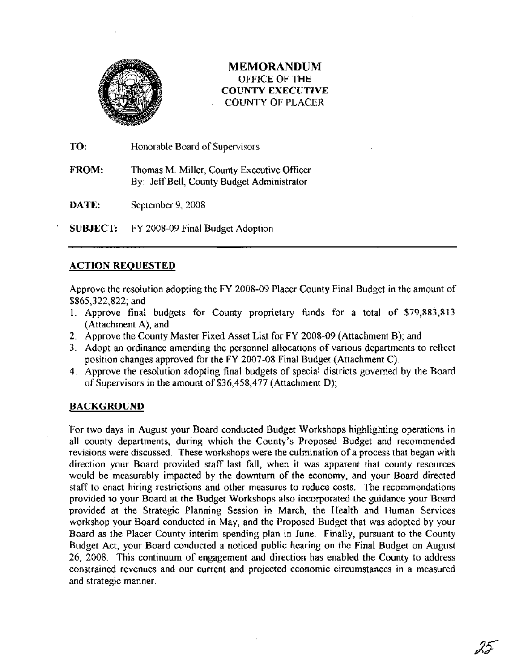

## **MEMORANDUM** OFFICE OF THE COUNTY EXECUTIVE COUNTY OF PLACER

TO: Honorable Board of Supervisors

FROM: Thomas M. Miller, County Executive Officer By: JeffBell, County Budget Administrator

DATE: September 9,2008

SUBJECT: FY 2008-09 Final Budget Adoption

### ACTION REQUESTED

Approve the resolution adopting the FY 2008-09 Placer County Final Budget in the amount of \$865,322,822; and

- 1. Approve final budgets for County proprietary funds for a total of \$79,883,813 (Attachment A); and
- 2. Approve the County Master Fixed Asset List for FY 2008-09 (Attachment B); and
- 3. Adopt an ordinance amending the personnel allocations of various departments to reflect position changes approved for the FY 2007-08 Final Budget (Attachment C).
- 4. Approve the resolution adopting final budgets of special districts governed by the Board of Supervisors in the amount of \$36,458,477 (Attachment D);

### **BACKGROUND**

For two days in August your Board conducted Budget Workshops highlighting operations in all county departments, during which the County's Proposed Budget and recommended revisions were discussed. These workshops were the culmination of a process that began with direction your Board provided staff last fall, when it was apparent that county resources would be measurably impacted by the downturn of the economy, and your Board directed staff to enact hiring restrictions and other measures to reduce costs. The recommendations provided to your Board at the Budget Workshops also incorporated the guidance your Board provided at the Strategic Planning Session in March, the Health and Human Services workshop your Board conducted in May, and the Proposed Budget that was adopted by your Board as the Placer County interim spending plan in June. Finally, pursuant to the County Budget Act, your Board conducted a noticed public hearing on the Final Budget on August 26, 2008. This continuum of engagement and direction has enabled the County to address constrained revenues and our current and projected economic circumstances in a measured and strategic manner.

25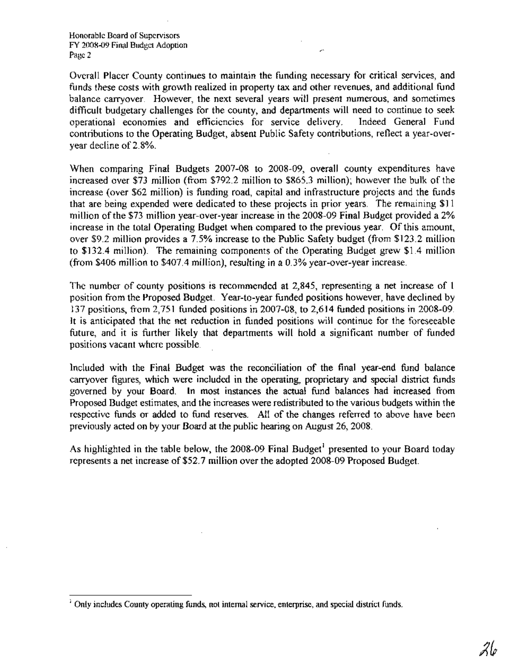Overall Placer County continues to maintain the funding necessary for critical services, and funds these costs with growth realized in property tax and other revenues, and additional fund balance carryover. However, the next several years will present numerous, and sometimes difficult budgetary challenges for the county, and departments will need to continue to seek<br>operational economies and efficiencies for service delivery. Indeed General Fund operational economies and efficiencies for service delivery. contributions to the Operating Budget, absent Public Safety contributions, reflect a year-overyear decline of 2.8%.

When comparing Final Budgets 2007-08 to 2008-09, overall county expenditures have increased over \$73 million (from \$792.2 million to \$865.3 million); however the bulk of the increase (over \$62 million) is funding road, capital and infrastructure projects and the funds that are being expended were dedicated to these projects in prior years. The remaining \$11 million of the \$73 million year-over-year increase in the 2008-09 Final Budget provided a 2% increase in the total Operating Budget when compared to the previous year. Of this amount, over \$9.2 million provides a 7.5% increase to the Public Safety budget (from \$123.2 million to \$132.4 million). The remaining components of the Operating Budget grew \$1.4 million (from \$406 million to \$407.4 million), resulting in a 0.3% year-over-year increase.

The number of county positions is recommended at 2,845, representing a net increase of 1 position from the Proposed Budget. Year-to-year funded positions however, have declined by 137 positions, from 2,751 funded positions in 2007-08, to 2,614 funded positions in 2008-09. It is anticipated that the net reduction in funded positions will continue for the foreseeable future, and it is further likely that departments will hold a significant number of funded positions vacant where possible.

Included with the Final Budget was the reconciliation of the final year-end fund balance carryover figures, which were included in the operating, proprietary and special district funds governed by your Board. In most instances the actual fund balances had increased from Proposed Budget estimates, and the increases were redistributed to the various budgets within the respective funds or added to fund reserves. All of the changes referred to above have been previously acted on by your Board at the public hearing on August 26, 2008.

As highlighted in the table below, the  $2008-09$  Final Budget<sup>1</sup> presented to your Board today represents a net increase of \$52.7 million over the adopted 2008-09 Proposed Budget.

<sup>&</sup>lt;sup>1</sup> Only includes County operating funds, not internal service, enterprise, and special district funds.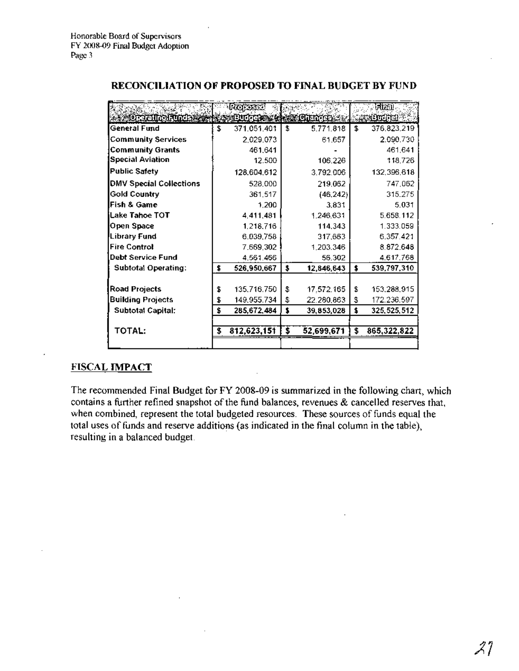|                                | RODOSEC                          |    |            | iatteil             |
|--------------------------------|----------------------------------|----|------------|---------------------|
| <b>MOREALIAN FUNCS</b>         | <b>SALUTTE COMMENT OF HIM AS</b> |    |            | <b>AREMENTS</b>     |
| General Fund                   | \$<br>371.051.401                | £  | 5.771.818  | \$<br>376.823.219   |
| <b>Community Services</b>      | 2.029.073                        |    | 61.657     | 2.090.730           |
| <b>Community Grants</b>        | 461.641                          |    |            | 461.641             |
| <b>Special Aviation</b>        | 12.500                           |    | 106.226    | 118,726             |
| <b>Public Safety</b>           | 128.604.612                      |    | 3.792.006  | 132.396.618         |
| <b>DMV Special Collections</b> | 528.000                          |    | 219.062    | 747.062             |
| <b>Gold Country</b>            | 361,517                          |    | (46, 242)  | 315.275             |
| Fish & Game                    | 1.200                            |    | 3.831      | 5.031               |
| iLake Tahoe TOT                | 4,411,481                        |    | 1,246,631  | 5.658.112           |
| Open Space                     | 1.218.716                        |    | 114,343    | 1.333.059           |
| Library Fund                   | 6.039,758                        |    | 317,663    | 6.357.421           |
| <b>Fire Control</b>            | 7.669,302                        |    | 1.203.346  | 8.872.648           |
| <b>Debt Service Fund</b>       | 4.561.466                        |    | 56.302     | 4.617.768           |
| <b>Subtotal Operating:</b>     | \$<br>526,950,667                | \$ | 12,846,643 | \$<br>539,797,310   |
|                                |                                  |    |            |                     |
| <b>Road Projects</b>           | \$<br>135,716,750                | \$ | 17,572.165 | \$<br>153,288,915   |
| <b>Building Projects</b>       | \$<br>149.955.734                | \$ | 22.280,863 | \$<br>172.236.597   |
| <b>Subtotal Capital:</b>       | \$<br>285,672,484                | \$ | 39,853,028 | \$<br>325, 525, 512 |
|                                |                                  |    |            |                     |
| TOTAL:                         | \$<br>812,623,151                | \$ | 52,699,671 | \$<br>865,322,822   |
|                                |                                  |    |            |                     |

#### RECONCILIATION OF PROPOSED TO FINAL BUDGET BY FUND

### FISCAL IMPACT

The recommended Final Budget for FY 2008-09 is summarized in the following chart, which contains a further refined snapshot of the fund balances, revenues  $\&$  cancelled reserves that, when combined, represent the total budgeted resources. These sources of funds equal the total uses of funds and reserve additions (as indicated in the final column in the table), resulting in a balanced budget.